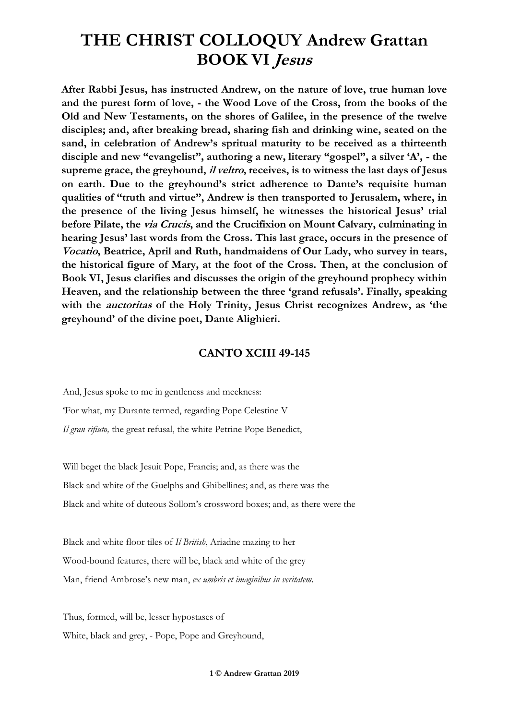**After Rabbi Jesus, has instructed Andrew, on the nature of love, true human love and the purest form of love, - the Wood Love of the Cross, from the books of the Old and New Testaments, on the shores of Galilee, in the presence of the twelve disciples; and, after breaking bread, sharing fish and drinking wine, seated on the sand, in celebration of Andrew's spritual maturity to be received as a thirteenth disciple and new "evangelist", authoring a new, literary "gospel", a silver 'A', - the supreme grace, the greyhound, il veltro, receives, is to witness the last days of Jesus on earth. Due to the greyhound's strict adherence to Dante's requisite human qualities of "truth and virtue", Andrew is then transported to Jerusalem, where, in the presence of the living Jesus himself, he witnesses the historical Jesus' trial before Pilate, the via Crucis, and the Crucifixion on Mount Calvary, culminating in hearing Jesus' last words from the Cross. This last grace, occurs in the presence of Vocatio, Beatrice, April and Ruth, handmaidens of Our Lady, who survey in tears, the historical figure of Mary, at the foot of the Cross. Then, at the conclusion of Book VI, Jesus clarifies and discusses the origin of the greyhound prophecy within Heaven, and the relationship between the three 'grand refusals'. Finally, speaking**  with the *auctoritas* of the Holy Trinity, Jesus Christ recognizes Andrew, as 'the **greyhound' of the divine poet, Dante Alighieri.**

#### **CANTO XCIII 49-145**

And, Jesus spoke to me in gentleness and meekness: 'For what, my Durante termed, regarding Pope Celestine V *Il gran rifiuto,* the great refusal, the white Petrine Pope Benedict,

Will beget the black Jesuit Pope, Francis; and, as there was the Black and white of the Guelphs and Ghibellines; and, as there was the Black and white of duteous Sollom's crossword boxes; and, as there were the

Black and white floor tiles of *Il British*, Ariadne mazing to her Wood-bound features, there will be, black and white of the grey Man, friend Ambrose's new man, *ex umbris et imaginibus in veritatem*.

Thus, formed, will be, lesser hypostases of White, black and grey, - Pope, Pope and Greyhound,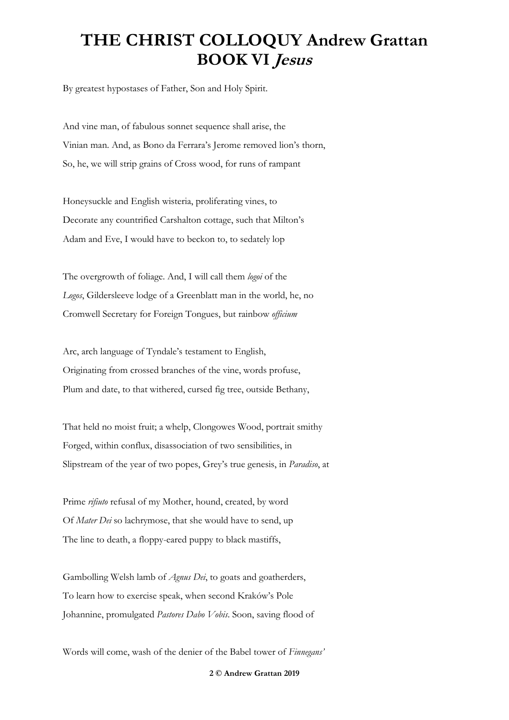By greatest hypostases of Father, Son and Holy Spirit.

And vine man, of fabulous sonnet sequence shall arise, the Vinian man. And, as Bono da Ferrara's Jerome removed lion's thorn, So, he, we will strip grains of Cross wood, for runs of rampant

Honeysuckle and English wisteria, proliferating vines, to Decorate any countrified Carshalton cottage, such that Milton's Adam and Eve, I would have to beckon to, to sedately lop

The overgrowth of foliage. And, I will call them *logoi* of the *Logos*, Gildersleeve lodge of a Greenblatt man in the world, he, no Cromwell Secretary for Foreign Tongues, but rainbow *officium*

Arc, arch language of Tyndale's testament to English, Originating from crossed branches of the vine, words profuse, Plum and date, to that withered, cursed fig tree, outside Bethany,

That held no moist fruit; a whelp, Clongowes Wood, portrait smithy Forged, within conflux, disassociation of two sensibilities, in Slipstream of the year of two popes, Grey's true genesis, in *Paradiso*, at

Prime *rifiuto* refusal of my Mother, hound, created, by word Of *Mater Dei* so lachrymose, that she would have to send, up The line to death, a floppy-eared puppy to black mastiffs,

Gambolling Welsh lamb of *Agnus Dei*, to goats and goatherders, To learn how to exercise speak, when second Kraków's Pole Johannine, promulgated *Pastores Dabo Vobis*. Soon, saving flood of

Words will come, wash of the denier of the Babel tower of *Finnegans'*

**2 © Andrew Grattan 2019**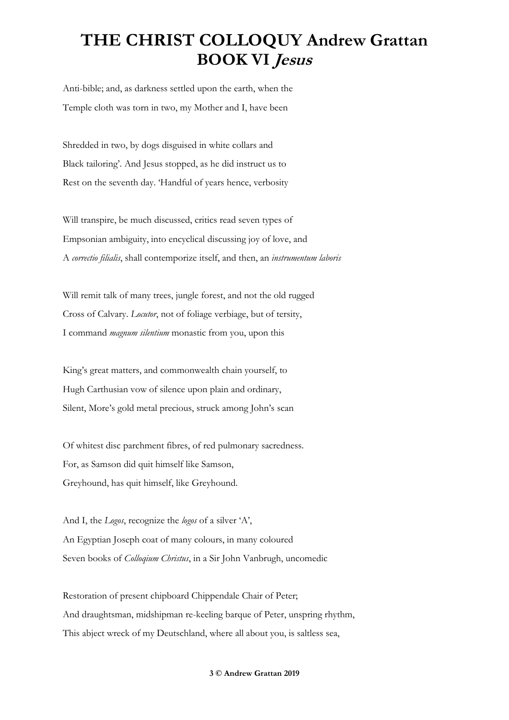Anti-bible; and, as darkness settled upon the earth, when the Temple cloth was torn in two, my Mother and I, have been

Shredded in two, by dogs disguised in white collars and Black tailoring'. And Jesus stopped, as he did instruct us to Rest on the seventh day. 'Handful of years hence, verbosity

Will transpire, be much discussed, critics read seven types of Empsonian ambiguity, into encyclical discussing joy of love, and A *correctio filialis*, shall contemporize itself, and then, an *instrumentum laboris*

Will remit talk of many trees, jungle forest, and not the old rugged Cross of Calvary. *Locutor*, not of foliage verbiage, but of tersity, I command *magnum silentium* monastic from you, upon this

King's great matters, and commonwealth chain yourself, to Hugh Carthusian vow of silence upon plain and ordinary, Silent, More's gold metal precious, struck among John's scan

Of whitest disc parchment fibres, of red pulmonary sacredness. For, as Samson did quit himself like Samson, Greyhound, has quit himself, like Greyhound.

And I, the *Logos*, recognize the *logos* of a silver 'A', An Egyptian Joseph coat of many colours, in many coloured Seven books of *Colloqium Christus*, in a Sir John Vanbrugh, uncomedic

Restoration of present chipboard Chippendale Chair of Peter; And draughtsman, midshipman re-keeling barque of Peter, unspring rhythm, This abject wreck of my Deutschland, where all about you, is saltless sea,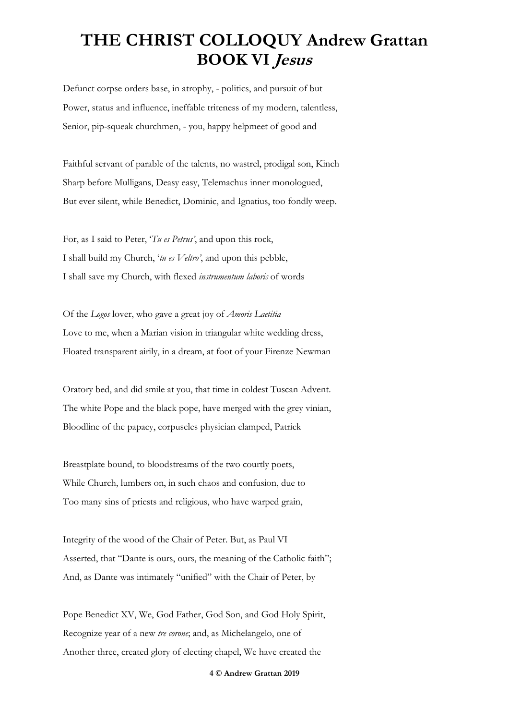Defunct corpse orders base, in atrophy, - politics, and pursuit of but Power, status and influence, ineffable triteness of my modern, talentless, Senior, pip-squeak churchmen, - you, happy helpmeet of good and

Faithful servant of parable of the talents, no wastrel, prodigal son, Kinch Sharp before Mulligans, Deasy easy, Telemachus inner monologued, But ever silent, while Benedict, Dominic, and Ignatius, too fondly weep.

For, as I said to Peter, '*Tu es Petrus'*, and upon this rock, I shall build my Church, '*tu es Veltro'*, and upon this pebble, I shall save my Church, with flexed *instrumentum laboris* of words

Of the *Logos* lover, who gave a great joy of *Amoris Laetitia* Love to me, when a Marian vision in triangular white wedding dress, Floated transparent airily, in a dream, at foot of your Firenze Newman

Oratory bed, and did smile at you, that time in coldest Tuscan Advent. The white Pope and the black pope, have merged with the grey vinian, Bloodline of the papacy, corpuscles physician clamped, Patrick

Breastplate bound, to bloodstreams of the two courtly poets, While Church, lumbers on, in such chaos and confusion, due to Too many sins of priests and religious, who have warped grain,

Integrity of the wood of the Chair of Peter. But, as Paul VI Asserted, that "Dante is ours, ours, the meaning of the Catholic faith"; And, as Dante was intimately "unified" with the Chair of Peter, by

Pope Benedict XV, We, God Father, God Son, and God Holy Spirit, Recognize year of a new *tre corone*; and, as Michelangelo, one of Another three, created glory of electing chapel, We have created the

**4 © Andrew Grattan 2019**